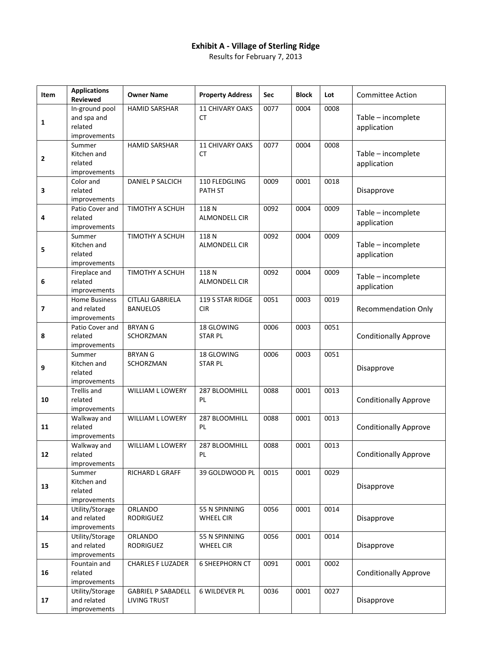## **Exhibit A - Village of Sterling Ridge**

Results for February 7, 2013

| Item | <b>Applications</b><br>Reviewed                          | <b>Owner Name</b>                                | <b>Property Address</b>             | Sec  | <b>Block</b> | Lot  | <b>Committee Action</b>           |
|------|----------------------------------------------------------|--------------------------------------------------|-------------------------------------|------|--------------|------|-----------------------------------|
| 1    | In-ground pool<br>and spa and<br>related<br>improvements | <b>HAMID SARSHAR</b>                             | 11 CHIVARY OAKS<br><b>CT</b>        | 0077 | 0004         | 0008 | Table - incomplete<br>application |
| 2    | Summer<br>Kitchen and<br>related<br>improvements         | <b>HAMID SARSHAR</b>                             | <b>11 CHIVARY OAKS</b><br><b>CT</b> | 0077 | 0004         | 0008 | Table - incomplete<br>application |
| 3    | Color and<br>related<br>improvements                     | <b>DANIEL P SALCICH</b>                          | 110 FLEDGLING<br><b>PATH ST</b>     | 0009 | 0001         | 0018 | Disapprove                        |
| 4    | Patio Cover and<br>related<br>improvements               | TIMOTHY A SCHUH                                  | 118N<br><b>ALMONDELL CIR</b>        | 0092 | 0004         | 0009 | Table - incomplete<br>application |
| 5    | Summer<br>Kitchen and<br>related<br>improvements         | TIMOTHY A SCHUH                                  | 118N<br><b>ALMONDELL CIR</b>        | 0092 | 0004         | 0009 | Table - incomplete<br>application |
| 6    | Fireplace and<br>related<br>improvements                 | TIMOTHY A SCHUH                                  | 118N<br><b>ALMONDELL CIR</b>        | 0092 | 0004         | 0009 | Table - incomplete<br>application |
| 7    | <b>Home Business</b><br>and related<br>improvements      | <b>CITLALI GABRIELA</b><br><b>BANUELOS</b>       | 119 S STAR RIDGE<br><b>CIR</b>      | 0051 | 0003         | 0019 | <b>Recommendation Only</b>        |
| 8    | Patio Cover and<br>related<br>improvements               | <b>BRYANG</b><br>SCHORZMAN                       | 18 GLOWING<br><b>STAR PL</b>        | 0006 | 0003         | 0051 | <b>Conditionally Approve</b>      |
| 9    | Summer<br>Kitchen and<br>related<br>improvements         | <b>BRYANG</b><br>SCHORZMAN                       | 18 GLOWING<br><b>STAR PL</b>        | 0006 | 0003         | 0051 | Disapprove                        |
| 10   | <b>Trellis and</b><br>related<br>improvements            | WILLIAM L LOWERY                                 | 287 BLOOMHILL<br>PL                 | 0088 | 0001         | 0013 | <b>Conditionally Approve</b>      |
| 11   | Walkway and<br>related<br>improvements                   | <b>WILLIAM L LOWERY</b>                          | 287 BLOOMHILL<br>PL                 | 0088 | 0001         | 0013 | <b>Conditionally Approve</b>      |
| 12   | Walkway and<br>related<br>improvements                   | <b>WILLIAM L LOWERY</b>                          | 287 BLOOMHILL<br>PL                 | 0088 | 0001         | 0013 | <b>Conditionally Approve</b>      |
| 13   | Summer<br>Kitchen and<br>related<br>improvements         | RICHARD L GRAFF                                  | 39 GOLDWOOD PL                      | 0015 | 0001         | 0029 | Disapprove                        |
| 14   | Utility/Storage<br>and related<br>improvements           | ORLANDO<br><b>RODRIGUEZ</b>                      | 55 N SPINNING<br>WHEEL CIR          | 0056 | 0001         | 0014 | Disapprove                        |
| 15   | Utility/Storage<br>and related<br>improvements           | ORLANDO<br><b>RODRIGUEZ</b>                      | 55 N SPINNING<br><b>WHEEL CIR</b>   | 0056 | 0001         | 0014 | Disapprove                        |
| 16   | Fountain and<br>related<br>improvements                  | <b>CHARLES F LUZADER</b>                         | <b>6 SHEEPHORN CT</b>               | 0091 | 0001         | 0002 | <b>Conditionally Approve</b>      |
| 17   | Utility/Storage<br>and related<br>improvements           | <b>GABRIEL P SABADELL</b><br><b>LIVING TRUST</b> | <b>6 WILDEVER PL</b>                | 0036 | 0001         | 0027 | Disapprove                        |